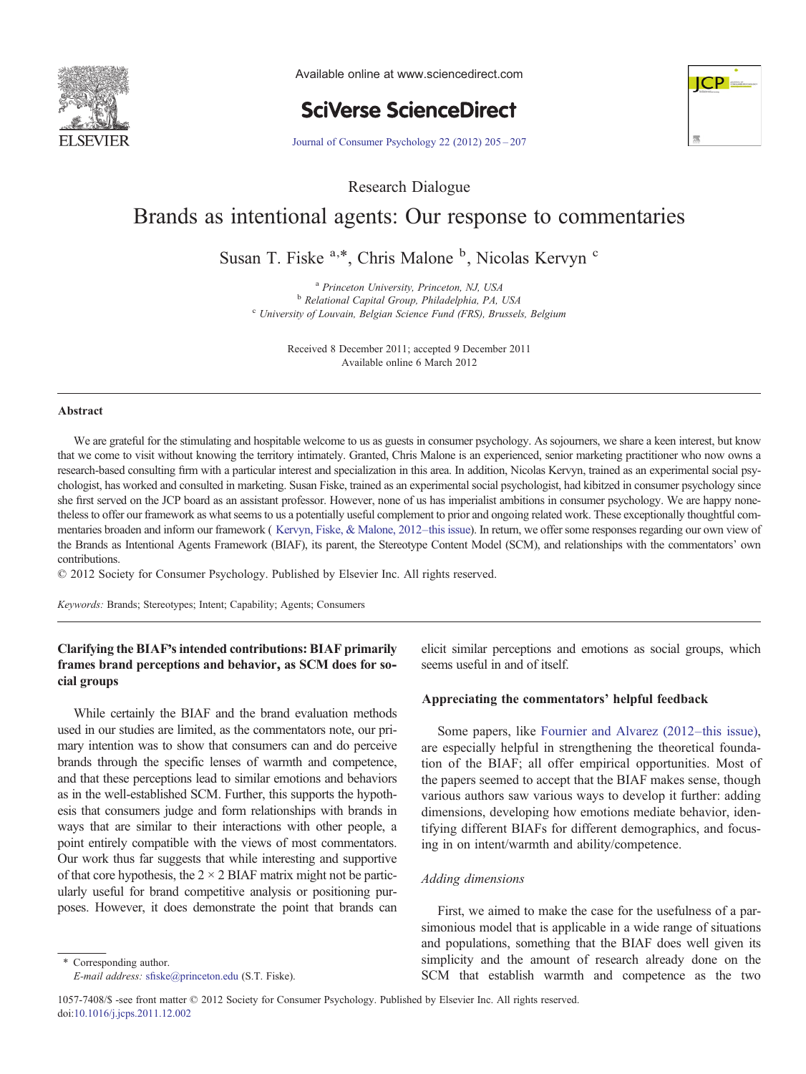

Available online at www.sciencedirect.com

**SciVerse ScienceDirect** 



[Journal of Consumer Psychology 22 \(2012\) 205](http://dx.doi.org/10.1016/j.jcps.2011.12.002)–207

Research Dialogue

## Brands as intentional agents: Our response to commentaries

Susan T. Fiske <sup>a,\*</sup>, Chris Malone <sup>b</sup>, Nicolas Kervyn <sup>c</sup>

 $a<sup>a</sup> Princeton University, Princeton, NJ, USA$ <br>  $b<sup>b</sup> Relational Capital Group, Philadelphia, PA, USA$ <sup>c</sup> University of Louvain, Belgian Science Fund (FRS), Brussels, Belgium

> Received 8 December 2011; accepted 9 December 2011 Available online 6 March 2012

#### Abstract

We are grateful for the stimulating and hospitable welcome to us as guests in consumer psychology. As sojourners, we share a keen interest, but know that we come to visit without knowing the territory intimately. Granted, Chris Malone is an experienced, senior marketing practitioner who now owns a research-based consulting firm with a particular interest and specialization in this area. In addition, Nicolas Kervyn, trained as an experimental social psychologist, has worked and consulted in marketing. Susan Fiske, trained as an experimental social psychologist, had kibitzed in consumer psychology since she first served on the JCP board as an assistant professor. However, none of us has imperialist ambitions in consumer psychology. We are happy nonetheless to offer our framework as what seems to us a potentially useful complement to prior and ongoing related work. These exceptionally thoughtful commentaries broaden and inform our framework ( Kervyn, Fiske, & Malone, 2012–this issue). In return, we offer some responses regarding our own view of the Brands as Intentional Agents Framework (BIAF), its parent, the Stereotype Content Model (SCM), and relationships with the commentators' own contributions.

© 2012 Society for Consumer Psychology. Published by Elsevier Inc. All rights reserved.

Keywords: Brands; Stereotypes; Intent; Capability; Agents; Consumers

### Clarifying the BIAF's intended contributions: BIAF primarily frames brand perceptions and behavior, as SCM does for social groups

While certainly the BIAF and the brand evaluation methods used in our studies are limited, as the commentators note, our primary intention was to show that consumers can and do perceive brands through the specific lenses of warmth and competence, and that these perceptions lead to similar emotions and behaviors as in the well-established SCM. Further, this supports the hypothesis that consumers judge and form relationships with brands in ways that are similar to their interactions with other people, a point entirely compatible with the views of most commentators. Our work thus far suggests that while interesting and supportive of that core hypothesis, the  $2 \times 2$  BIAF matrix might not be particularly useful for brand competitive analysis or positioning purposes. However, it does demonstrate the point that brands can

⁎ Corresponding author. E-mail address: sfi[ske@princeton.edu](mailto:sfiske@princeton.edu) (S.T. Fiske). elicit similar perceptions and emotions as social groups, which seems useful in and of itself.

#### Appreciating the commentators' helpful feedback

Some papers, like [Fournier and Alvarez \(2012](#page--1-0)–this issue), are especially helpful in strengthening the theoretical foundation of the BIAF; all offer empirical opportunities. Most of the papers seemed to accept that the BIAF makes sense, though various authors saw various ways to develop it further: adding dimensions, developing how emotions mediate behavior, identifying different BIAFs for different demographics, and focusing in on intent/warmth and ability/competence.

#### Adding dimensions

First, we aimed to make the case for the usefulness of a parsimonious model that is applicable in a wide range of situations and populations, something that the BIAF does well given its simplicity and the amount of research already done on the SCM that establish warmth and competence as the two

1057-7408/\$ -see front matter © 2012 Society for Consumer Psychology. Published by Elsevier Inc. All rights reserved. doi:[10.1016/j.jcps.2011.12.002](http://dx.doi.org/10.1016/j.jcps.2011.12.002)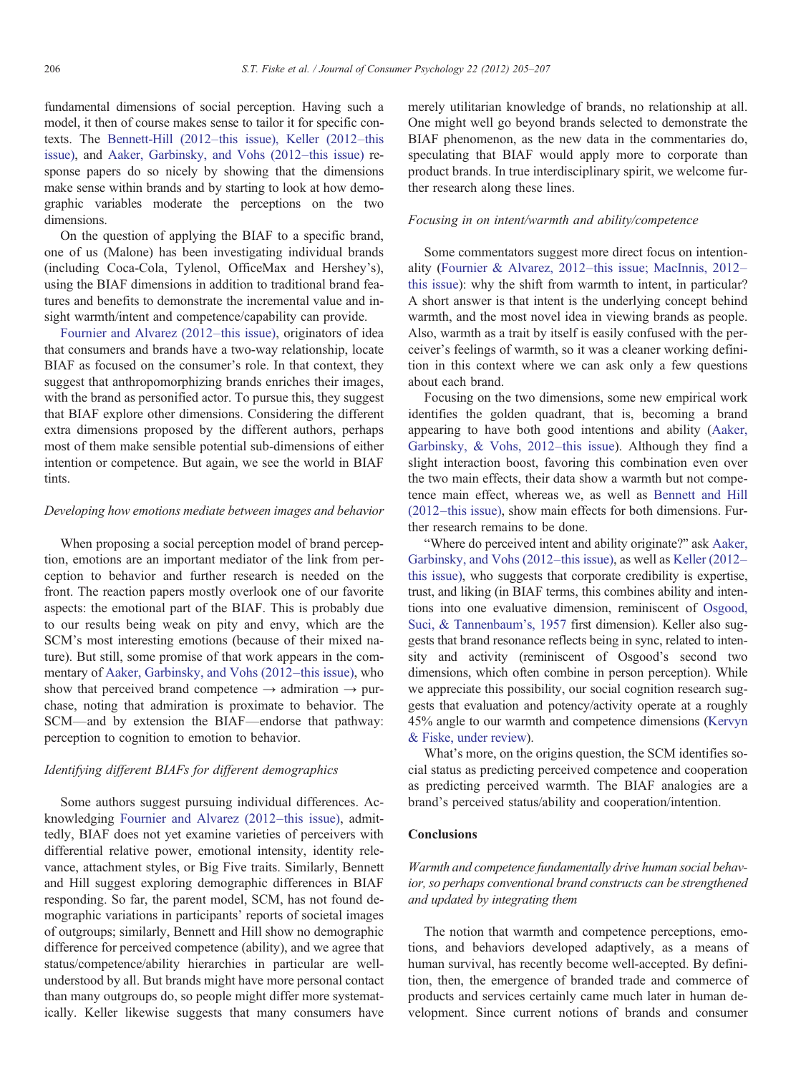fundamental dimensions of social perception. Having such a model, it then of course makes sense to tailor it for specific contexts. The Bennett-Hill (2012–[this issue\), Keller \(2012](#page--1-0)–this [issue\)](#page--1-0), and [Aaker, Garbinsky, and Vohs \(2012](#page--1-0)–this issue) response papers do so nicely by showing that the dimensions make sense within brands and by starting to look at how demographic variables moderate the perceptions on the two dimensions.

On the question of applying the BIAF to a specific brand, one of us (Malone) has been investigating individual brands (including Coca-Cola, Tylenol, OfficeMax and Hershey's), using the BIAF dimensions in addition to traditional brand features and benefits to demonstrate the incremental value and insight warmth/intent and competence/capability can provide.

[Fournier and Alvarez \(2012](#page--1-0)–this issue), originators of idea that consumers and brands have a two-way relationship, locate BIAF as focused on the consumer's role. In that context, they suggest that anthropomorphizing brands enriches their images, with the brand as personified actor. To pursue this, they suggest that BIAF explore other dimensions. Considering the different extra dimensions proposed by the different authors, perhaps most of them make sensible potential sub-dimensions of either intention or competence. But again, we see the world in BIAF tints.

#### Developing how emotions mediate between images and behavior

When proposing a social perception model of brand perception, emotions are an important mediator of the link from perception to behavior and further research is needed on the front. The reaction papers mostly overlook one of our favorite aspects: the emotional part of the BIAF. This is probably due to our results being weak on pity and envy, which are the SCM's most interesting emotions (because of their mixed nature). But still, some promise of that work appears in the commentary of [Aaker, Garbinsky, and Vohs \(2012](#page--1-0)–this issue), who show that perceived brand competence  $\rightarrow$  admiration  $\rightarrow$  purchase, noting that admiration is proximate to behavior. The SCM—and by extension the BIAF—endorse that pathway: perception to cognition to emotion to behavior.

#### Identifying different BIAFs for different demographics

Some authors suggest pursuing individual differences. Acknowledging [Fournier and Alvarez \(2012](#page--1-0)–this issue), admittedly, BIAF does not yet examine varieties of perceivers with differential relative power, emotional intensity, identity relevance, attachment styles, or Big Five traits. Similarly, Bennett and Hill suggest exploring demographic differences in BIAF responding. So far, the parent model, SCM, has not found demographic variations in participants' reports of societal images of outgroups; similarly, Bennett and Hill show no demographic difference for perceived competence (ability), and we agree that status/competence/ability hierarchies in particular are wellunderstood by all. But brands might have more personal contact than many outgroups do, so people might differ more systematically. Keller likewise suggests that many consumers have merely utilitarian knowledge of brands, no relationship at all. One might well go beyond brands selected to demonstrate the BIAF phenomenon, as the new data in the commentaries do, speculating that BIAF would apply more to corporate than product brands. In true interdisciplinary spirit, we welcome further research along these lines.

#### Focusing in on intent/warmth and ability/competence

Some commentators suggest more direct focus on intentionality (Fournier & Alvarez, 2012–[this issue; MacInnis, 2012](#page--1-0)– [this issue\)](#page--1-0): why the shift from warmth to intent, in particular? A short answer is that intent is the underlying concept behind warmth, and the most novel idea in viewing brands as people. Also, warmth as a trait by itself is easily confused with the perceiver's feelings of warmth, so it was a cleaner working definition in this context where we can ask only a few questions about each brand.

Focusing on the two dimensions, some new empirical work identifies the golden quadrant, that is, becoming a brand appearing to have both good intentions and ability [\(Aaker,](#page--1-0) [Garbinsky, & Vohs, 2012](#page--1-0)–this issue). Although they find a slight interaction boost, favoring this combination even over the two main effects, their data show a warmth but not competence main effect, whereas we, as well as [Bennett and Hill](#page--1-0) (2012–[this issue\),](#page--1-0) show main effects for both dimensions. Further research remains to be done.

"Where do perceived intent and ability originate?" ask [Aaker,](#page--1-0) [Garbinsky, and Vohs \(2012](#page--1-0)–this issue), as well as [Keller \(2012](#page--1-0)– [this issue\),](#page--1-0) who suggests that corporate credibility is expertise, trust, and liking (in BIAF terms, this combines ability and intentions into one evaluative dimension, reminiscent of [Osgood,](#page--1-0) [Suci, & Tannenbaum's, 1957](#page--1-0) first dimension). Keller also suggests that brand resonance reflects being in sync, related to intensity and activity (reminiscent of Osgood's second two dimensions, which often combine in person perception). While we appreciate this possibility, our social cognition research suggests that evaluation and potency/activity operate at a roughly 45% angle to our warmth and competence dimensions [\(Kervyn](#page--1-0) [& Fiske, under review](#page--1-0)).

What's more, on the origins question, the SCM identifies social status as predicting perceived competence and cooperation as predicting perceived warmth. The BIAF analogies are a brand's perceived status/ability and cooperation/intention.

#### Conclusions

## Warmth and competence fundamentally drive human social behavior, so perhaps conventional brand constructs can be strengthened and updated by integrating them

The notion that warmth and competence perceptions, emotions, and behaviors developed adaptively, as a means of human survival, has recently become well-accepted. By definition, then, the emergence of branded trade and commerce of products and services certainly came much later in human development. Since current notions of brands and consumer